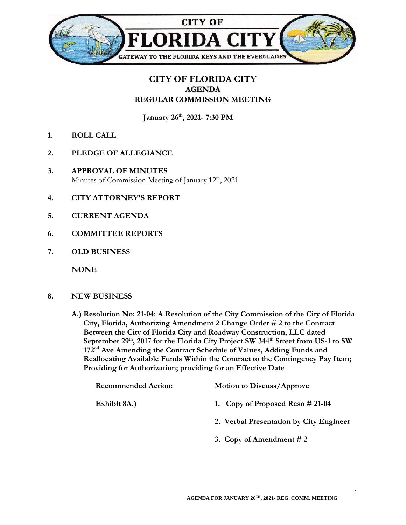

## **CITY OF FLORIDA CITY AGENDA REGULAR COMMISSION MEETING**

**January 26th, 2021- 7:30 PM**

- **1. ROLL CALL**
- **2. PLEDGE OF ALLEGIANCE**
- **3. APPROVAL OF MINUTES** Minutes of Commission Meeting of January 12<sup>th</sup>, 2021
- **4. CITY ATTORNEY'S REPORT**
- **5. CURRENT AGENDA**
- **6. COMMITTEE REPORTS**
- **7. OLD BUSINESS**

**NONE**

- **8. NEW BUSINESS**
	- **A.) Resolution No: 21-04: A Resolution of the City Commission of the City of Florida City, Florida, Authorizing Amendment 2 Change Order # 2 to the Contract Between the City of Florida City and Roadway Construction, LLC dated September 29th, 2017 for the Florida City Project SW 344th Street from US-1 to SW 172nd Ave Amending the Contract Schedule of Values, Adding Funds and Reallocating Available Funds Within the Contract to the Contingency Pay Item; Providing for Authorization; providing for an Effective Date**

| <b>Recommended Action:</b> | <b>Motion to Discuss/Approve</b>        |
|----------------------------|-----------------------------------------|
| Exhibit 8A.)               | 1. Copy of Proposed Reso $\#$ 21-04     |
|                            | 2. Verbal Presentation by City Engineer |
|                            | 3. Copy of Amendment $#2$               |